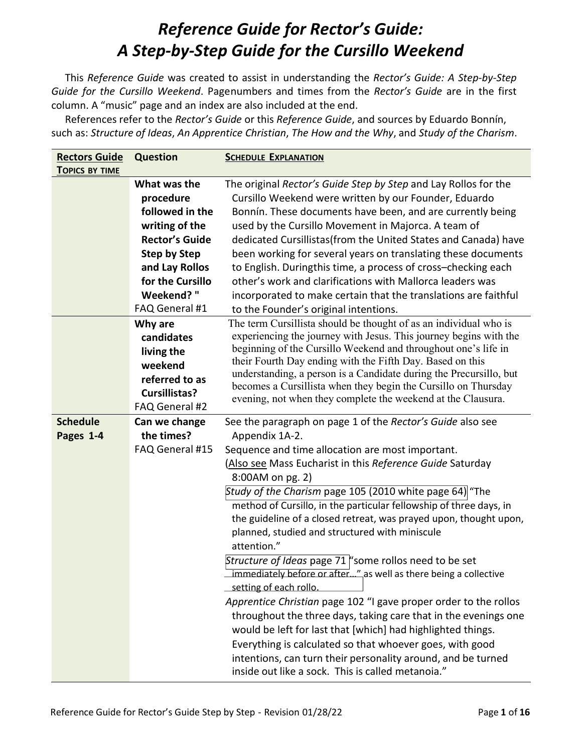## *Reference Guide for Rector's Guide: A Step-by-Step Guide for the Cursillo Weekend*

This *Reference Guide* was created to assist in understanding the *Rector's Guide: A Step-by-Step Guide for the Cursillo Weekend*. Pagenumbers and times from the *Rector's Guide* are in the first column. A "music" page and an index are also included at the end.

References refer to the *Rector's Guide* or this *Reference Guide*, and sources by Eduardo Bonnín, such as: *Structure of Ideas*, *An Apprentice Christian*, *The How and the Why*, and *Study of the Charism*.

| <b>Rectors Guide</b>  | <b>Question</b>       | <b>SCHEDULE EXPLANATION</b>                                                                                                          |
|-----------------------|-----------------------|--------------------------------------------------------------------------------------------------------------------------------------|
| <b>TOPICS BY TIME</b> |                       |                                                                                                                                      |
|                       | What was the          | The original Rector's Guide Step by Step and Lay Rollos for the                                                                      |
|                       | procedure             | Cursillo Weekend were written by our Founder, Eduardo                                                                                |
|                       | followed in the       | Bonnín. These documents have been, and are currently being                                                                           |
|                       | writing of the        | used by the Cursillo Movement in Majorca. A team of                                                                                  |
|                       | <b>Rector's Guide</b> | dedicated Cursillistas(from the United States and Canada) have                                                                       |
|                       | <b>Step by Step</b>   | been working for several years on translating these documents                                                                        |
|                       | and Lay Rollos        | to English. Duringthis time, a process of cross-checking each                                                                        |
|                       | for the Cursillo      | other's work and clarifications with Mallorca leaders was                                                                            |
|                       | Weekend?"             | incorporated to make certain that the translations are faithful                                                                      |
|                       | FAQ General #1        | to the Founder's original intentions.                                                                                                |
|                       | Why are               | The term Cursillista should be thought of as an individual who is                                                                    |
|                       | candidates            | experiencing the journey with Jesus. This journey begins with the                                                                    |
|                       | living the            | beginning of the Cursillo Weekend and throughout one's life in                                                                       |
|                       | weekend               | their Fourth Day ending with the Fifth Day. Based on this                                                                            |
|                       | referred to as        | understanding, a person is a Candidate during the Precursillo, but<br>becomes a Cursillista when they begin the Cursillo on Thursday |
|                       | <b>Cursillistas?</b>  | evening, not when they complete the weekend at the Clausura.                                                                         |
|                       | FAQ General #2        |                                                                                                                                      |
| <b>Schedule</b>       | Can we change         | See the paragraph on page 1 of the Rector's Guide also see                                                                           |
| Pages 1-4             | the times?            | Appendix 1A-2.                                                                                                                       |
|                       | FAQ General #15       | Sequence and time allocation are most important.                                                                                     |
|                       |                       | (Also see Mass Eucharist in this Reference Guide Saturday                                                                            |
|                       |                       | 8:00AM on pg. 2)                                                                                                                     |
|                       |                       | Study of the Charism page 105 (2010 white page 64) "The                                                                              |
|                       |                       | method of Cursillo, in the particular fellowship of three days, in                                                                   |
|                       |                       | the guideline of a closed retreat, was prayed upon, thought upon,                                                                    |
|                       |                       | planned, studied and structured with miniscule                                                                                       |
|                       |                       | attention."                                                                                                                          |
|                       |                       | Structure of Ideas page 71 "some rollos need to be set                                                                               |
|                       |                       | immediately before or after" as well as there being a collective                                                                     |
|                       |                       | setting of each rollo.                                                                                                               |
|                       |                       | Apprentice Christian page 102 "I gave proper order to the rollos                                                                     |
|                       |                       | throughout the three days, taking care that in the evenings one                                                                      |
|                       |                       | would be left for last that [which] had highlighted things.                                                                          |
|                       |                       |                                                                                                                                      |
|                       |                       | Everything is calculated so that whoever goes, with good                                                                             |
|                       |                       | intentions, can turn their personality around, and be turned<br>inside out like a sock. This is called metanoia."                    |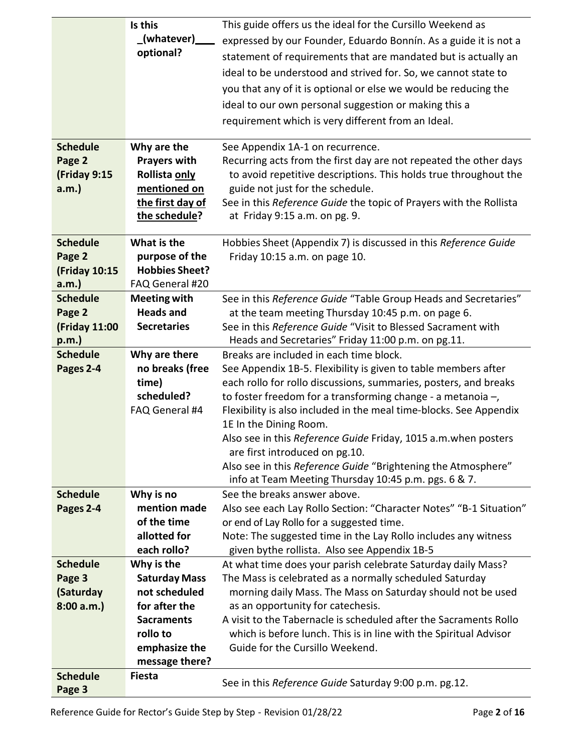|                         | Is this<br>(whatever)<br>optional?    | This guide offers us the ideal for the Cursillo Weekend as<br>expressed by our Founder, Eduardo Bonnín. As a guide it is not a<br>statement of requirements that are mandated but is actually an<br>ideal to be understood and strived for. So, we cannot state to<br>you that any of it is optional or else we would be reducing the<br>ideal to our own personal suggestion or making this a<br>requirement which is very different from an Ideal. |
|-------------------------|---------------------------------------|------------------------------------------------------------------------------------------------------------------------------------------------------------------------------------------------------------------------------------------------------------------------------------------------------------------------------------------------------------------------------------------------------------------------------------------------------|
| <b>Schedule</b>         | Why are the                           | See Appendix 1A-1 on recurrence.                                                                                                                                                                                                                                                                                                                                                                                                                     |
| Page 2                  | <b>Prayers with</b>                   | Recurring acts from the first day are not repeated the other days                                                                                                                                                                                                                                                                                                                                                                                    |
| (Friday 9:15            | Rollista only                         | to avoid repetitive descriptions. This holds true throughout the                                                                                                                                                                                                                                                                                                                                                                                     |
| $a.m.$ )                | mentioned on                          | guide not just for the schedule.                                                                                                                                                                                                                                                                                                                                                                                                                     |
|                         | the first day of<br>the schedule?     | See in this Reference Guide the topic of Prayers with the Rollista<br>at Friday 9:15 a.m. on pg. 9.                                                                                                                                                                                                                                                                                                                                                  |
| <b>Schedule</b>         | What is the                           | Hobbies Sheet (Appendix 7) is discussed in this Reference Guide                                                                                                                                                                                                                                                                                                                                                                                      |
| Page 2                  | purpose of the                        | Friday 10:15 a.m. on page 10.                                                                                                                                                                                                                                                                                                                                                                                                                        |
| (Friday 10:15           | <b>Hobbies Sheet?</b>                 |                                                                                                                                                                                                                                                                                                                                                                                                                                                      |
| a.m.                    | FAQ General #20                       |                                                                                                                                                                                                                                                                                                                                                                                                                                                      |
| <b>Schedule</b>         | <b>Meeting with</b>                   | See in this Reference Guide "Table Group Heads and Secretaries"                                                                                                                                                                                                                                                                                                                                                                                      |
| Page 2                  | <b>Heads and</b>                      | at the team meeting Thursday 10:45 p.m. on page 6.                                                                                                                                                                                                                                                                                                                                                                                                   |
| (Friday 11:00           | <b>Secretaries</b>                    | See in this Reference Guide "Visit to Blessed Sacrament with                                                                                                                                                                                                                                                                                                                                                                                         |
| p.m.<br><b>Schedule</b> | Why are there                         | Heads and Secretaries" Friday 11:00 p.m. on pg.11.<br>Breaks are included in each time block.                                                                                                                                                                                                                                                                                                                                                        |
| Pages 2-4               | no breaks (free                       | See Appendix 1B-5. Flexibility is given to table members after                                                                                                                                                                                                                                                                                                                                                                                       |
|                         | time)                                 | each rollo for rollo discussions, summaries, posters, and breaks                                                                                                                                                                                                                                                                                                                                                                                     |
|                         | scheduled?                            | to foster freedom for a transforming change - a metanoia $-$ ,                                                                                                                                                                                                                                                                                                                                                                                       |
|                         | FAQ General #4                        | Flexibility is also included in the meal time-blocks. See Appendix                                                                                                                                                                                                                                                                                                                                                                                   |
|                         |                                       | 1E In the Dining Room.                                                                                                                                                                                                                                                                                                                                                                                                                               |
|                         |                                       | Also see in this Reference Guide Friday, 1015 a.m. when posters                                                                                                                                                                                                                                                                                                                                                                                      |
|                         |                                       | are first introduced on pg.10.                                                                                                                                                                                                                                                                                                                                                                                                                       |
|                         |                                       | Also see in this Reference Guide "Brightening the Atmosphere"<br>info at Team Meeting Thursday 10:45 p.m. pgs. 6 & 7.                                                                                                                                                                                                                                                                                                                                |
| <b>Schedule</b>         | Why is no                             | See the breaks answer above.                                                                                                                                                                                                                                                                                                                                                                                                                         |
| Pages 2-4               | mention made                          | Also see each Lay Rollo Section: "Character Notes" "B-1 Situation"                                                                                                                                                                                                                                                                                                                                                                                   |
|                         | of the time                           | or end of Lay Rollo for a suggested time.                                                                                                                                                                                                                                                                                                                                                                                                            |
|                         | allotted for                          | Note: The suggested time in the Lay Rollo includes any witness                                                                                                                                                                                                                                                                                                                                                                                       |
|                         | each rollo?                           | given bythe rollista. Also see Appendix 1B-5                                                                                                                                                                                                                                                                                                                                                                                                         |
| <b>Schedule</b>         | Why is the                            | At what time does your parish celebrate Saturday daily Mass?                                                                                                                                                                                                                                                                                                                                                                                         |
| Page 3<br>(Saturday     | <b>Saturday Mass</b><br>not scheduled | The Mass is celebrated as a normally scheduled Saturday<br>morning daily Mass. The Mass on Saturday should not be used                                                                                                                                                                                                                                                                                                                               |
| 8:00 a.m.               | for after the                         | as an opportunity for catechesis.                                                                                                                                                                                                                                                                                                                                                                                                                    |
|                         | <b>Sacraments</b>                     | A visit to the Tabernacle is scheduled after the Sacraments Rollo                                                                                                                                                                                                                                                                                                                                                                                    |
|                         | rollo to                              | which is before lunch. This is in line with the Spiritual Advisor                                                                                                                                                                                                                                                                                                                                                                                    |
|                         | emphasize the                         | Guide for the Cursillo Weekend.                                                                                                                                                                                                                                                                                                                                                                                                                      |
|                         | message there?                        |                                                                                                                                                                                                                                                                                                                                                                                                                                                      |
| <b>Schedule</b>         | <b>Fiesta</b>                         | See in this Reference Guide Saturday 9:00 p.m. pg.12.                                                                                                                                                                                                                                                                                                                                                                                                |
| Page 3                  |                                       |                                                                                                                                                                                                                                                                                                                                                                                                                                                      |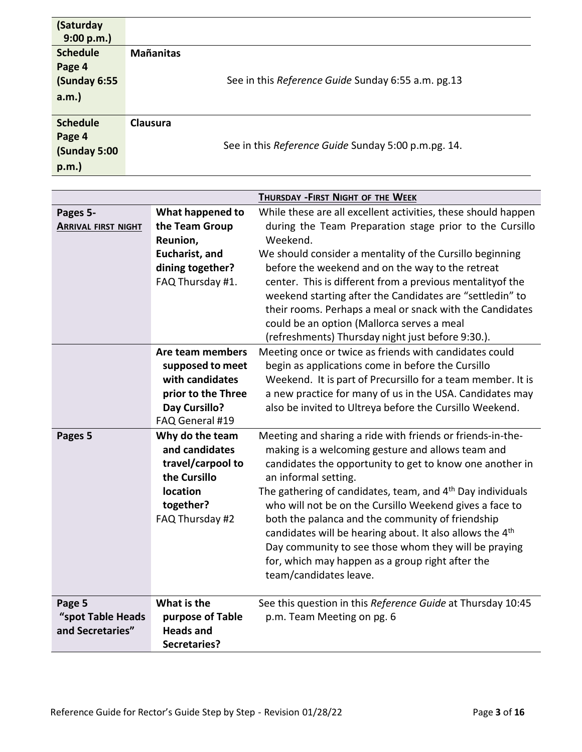| (Saturday<br>9:00 p.m.     |                      |                                                                        |
|----------------------------|----------------------|------------------------------------------------------------------------|
| <b>Schedule</b>            | <b>Mañanitas</b>     |                                                                        |
| Page 4                     |                      |                                                                        |
| (Sunday 6:55               |                      | See in this Reference Guide Sunday 6:55 a.m. pg.13                     |
| $a.m.$ )                   |                      |                                                                        |
|                            |                      |                                                                        |
| <b>Schedule</b>            | Clausura             |                                                                        |
| Page 4                     |                      |                                                                        |
| (Sunday 5:00               |                      | See in this Reference Guide Sunday 5:00 p.m.pg. 14.                    |
| p.m.                       |                      |                                                                        |
|                            |                      |                                                                        |
|                            |                      | THURSDAY - FIRST NIGHT OF THE WEEK                                     |
| Pages 5-                   | What happened to     | While these are all excellent activities, these should happen          |
| <b>ARRIVAL FIRST NIGHT</b> | the Team Group       | during the Team Preparation stage prior to the Cursillo                |
|                            | Reunion,             | Weekend.                                                               |
|                            | Eucharist, and       | We should consider a mentality of the Cursillo beginning               |
|                            | dining together?     | before the weekend and on the way to the retreat                       |
|                            | FAQ Thursday #1.     | center. This is different from a previous mentality of the             |
|                            |                      | weekend starting after the Candidates are "settledin" to               |
|                            |                      | their rooms. Perhaps a meal or snack with the Candidates               |
|                            |                      | could be an option (Mallorca serves a meal                             |
|                            |                      | (refreshments) Thursday night just before 9:30.).                      |
|                            | Are team members     | Meeting once or twice as friends with candidates could                 |
|                            | supposed to meet     | begin as applications come in before the Cursillo                      |
|                            | with candidates      | Weekend. It is part of Precursillo for a team member. It is            |
|                            | prior to the Three   | a new practice for many of us in the USA. Candidates may               |
|                            | <b>Day Cursillo?</b> | also be invited to Ultreya before the Cursillo Weekend.                |
|                            | FAQ General #19      |                                                                        |
| Pages 5                    | Why do the team      | Meeting and sharing a ride with friends or friends-in-the-             |
|                            | and candidates       | making is a welcoming gesture and allows team and                      |
|                            | travel/carpool to    | candidates the opportunity to get to know one another in               |
|                            | the Cursillo         | an informal setting.                                                   |
|                            | location             | The gathering of candidates, team, and 4 <sup>th</sup> Day individuals |
|                            | together?            | who will not be on the Cursillo Weekend gives a face to                |
|                            | FAQ Thursday #2      | both the palanca and the community of friendship                       |
|                            |                      | candidates will be hearing about. It also allows the 4 <sup>th</sup>   |
|                            |                      | Day community to see those whom they will be praying                   |
|                            |                      | for, which may happen as a group right after the                       |
|                            |                      | team/candidates leave.                                                 |
| Page 5                     | What is the          | See this question in this Reference Guide at Thursday 10:45            |
| "spot Table Heads          | purpose of Table     | p.m. Team Meeting on pg. 6                                             |
| and Secretaries"           | <b>Heads and</b>     |                                                                        |
|                            | Secretaries?         |                                                                        |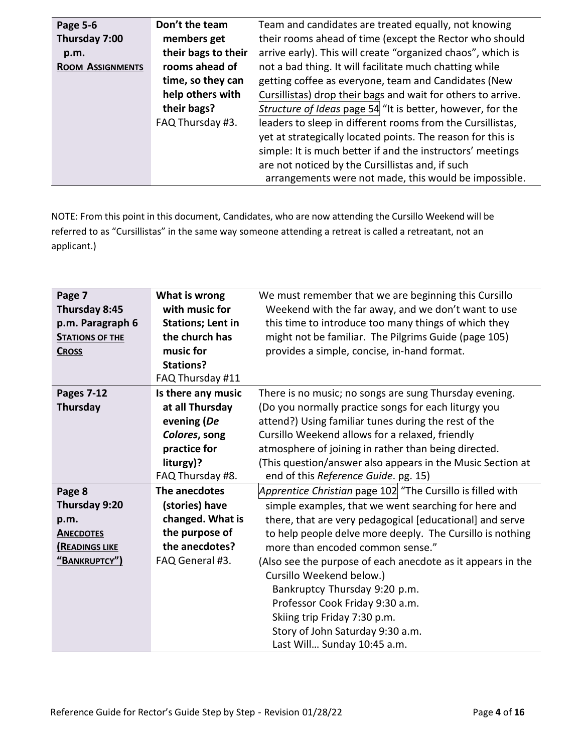| Page 5-6                | Don't the team      | Team and candidates are treated equally, not knowing         |
|-------------------------|---------------------|--------------------------------------------------------------|
| Thursday 7:00           | members get         | their rooms ahead of time (except the Rector who should      |
| p.m.                    | their bags to their | arrive early). This will create "organized chaos", which is  |
| <b>ROOM ASSIGNMENTS</b> | rooms ahead of      | not a bad thing. It will facilitate much chatting while      |
|                         | time, so they can   | getting coffee as everyone, team and Candidates (New         |
|                         | help others with    | Cursillistas) drop their bags and wait for others to arrive. |
|                         | their bags?         | Structure of Ideas page 54 "It is better, however, for the   |
|                         | FAQ Thursday #3.    | leaders to sleep in different rooms from the Cursillistas,   |
|                         |                     | yet at strategically located points. The reason for this is  |
|                         |                     | simple: It is much better if and the instructors' meetings   |
|                         |                     | are not noticed by the Cursillistas and, if such             |
|                         |                     | arrangements were not made, this would be impossible.        |

NOTE: From this point in this document, Candidates, who are now attending the Cursillo Weekend will be referred to as "Cursillistas" in the same way someone attending a retreat is called a retreatant, not an applicant.)

| Page 7<br>Thursday 8:45<br>p.m. Paragraph 6<br><b>STATIONS OF THE</b><br><b>CROSS</b> | What is wrong<br>with music for<br><b>Stations; Lent in</b><br>the church has<br>music for<br><b>Stations?</b><br>FAQ Thursday #11 | We must remember that we are beginning this Cursillo<br>Weekend with the far away, and we don't want to use<br>this time to introduce too many things of which they<br>might not be familiar. The Pilgrims Guide (page 105)<br>provides a simple, concise, in-hand format.                                                                      |
|---------------------------------------------------------------------------------------|------------------------------------------------------------------------------------------------------------------------------------|-------------------------------------------------------------------------------------------------------------------------------------------------------------------------------------------------------------------------------------------------------------------------------------------------------------------------------------------------|
| <b>Pages 7-12</b><br>Thursday                                                         | Is there any music<br>at all Thursday<br>evening (De<br>Colores, song<br>practice for<br>liturgy)?                                 | There is no music; no songs are sung Thursday evening.<br>(Do you normally practice songs for each liturgy you<br>attend?) Using familiar tunes during the rest of the<br>Cursillo Weekend allows for a relaxed, friendly<br>atmosphere of joining in rather than being directed.<br>(This question/answer also appears in the Music Section at |
|                                                                                       | FAQ Thursday #8.                                                                                                                   | end of this Reference Guide. pg. 15)                                                                                                                                                                                                                                                                                                            |
| Page 8                                                                                | The anecdotes                                                                                                                      | Apprentice Christian page 102 "The Cursillo is filled with                                                                                                                                                                                                                                                                                      |
| Thursday 9:20                                                                         | (stories) have                                                                                                                     | simple examples, that we went searching for here and                                                                                                                                                                                                                                                                                            |
| p.m.                                                                                  | changed. What is                                                                                                                   | there, that are very pedagogical [educational] and serve                                                                                                                                                                                                                                                                                        |
| <b>ANECDOTES</b>                                                                      | the purpose of                                                                                                                     | to help people delve more deeply. The Cursillo is nothing                                                                                                                                                                                                                                                                                       |
| <b>(READINGS LIKE</b>                                                                 | the anecdotes?                                                                                                                     | more than encoded common sense."                                                                                                                                                                                                                                                                                                                |
| "BANKRUPTCY")                                                                         | FAQ General #3.                                                                                                                    | (Also see the purpose of each anecdote as it appears in the<br>Cursillo Weekend below.)<br>Bankruptcy Thursday 9:20 p.m.<br>Professor Cook Friday 9:30 a.m.<br>Skiing trip Friday 7:30 p.m.<br>Story of John Saturday 9:30 a.m.<br>Last Will Sunday 10:45 a.m.                                                                                  |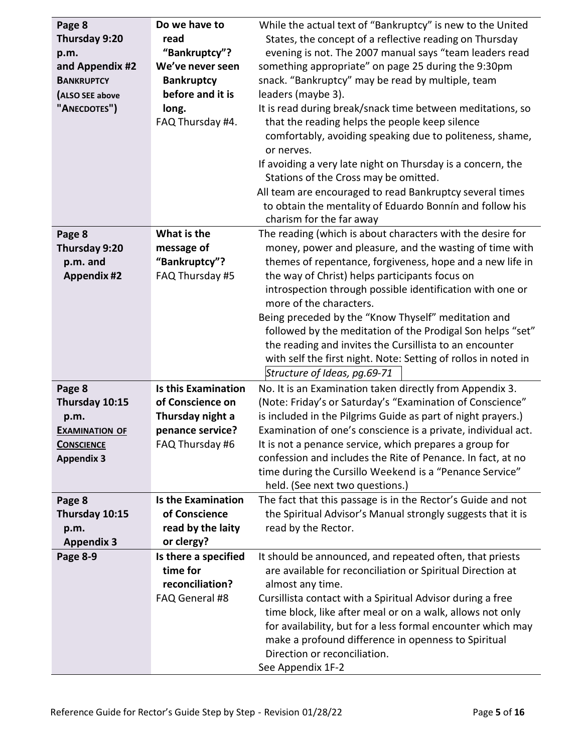| Page 8<br>Thursday 9:20<br>p.m.<br>and Appendix #2<br><b>BANKRUPTCY</b><br>(ALSO SEE above<br>"ANECDOTES") | Do we have to<br>read<br>"Bankruptcy"?<br>We've never seen<br><b>Bankruptcy</b><br>before and it is<br>long.<br>FAQ Thursday #4. | While the actual text of "Bankruptcy" is new to the United<br>States, the concept of a reflective reading on Thursday<br>evening is not. The 2007 manual says "team leaders read<br>something appropriate" on page 25 during the 9:30pm<br>snack. "Bankruptcy" may be read by multiple, team<br>leaders (maybe 3).<br>It is read during break/snack time between meditations, so<br>that the reading helps the people keep silence<br>comfortably, avoiding speaking due to politeness, shame,<br>or nerves.<br>If avoiding a very late night on Thursday is a concern, the<br>Stations of the Cross may be omitted.<br>All team are encouraged to read Bankruptcy several times<br>to obtain the mentality of Eduardo Bonnín and follow his<br>charism for the far away |
|------------------------------------------------------------------------------------------------------------|----------------------------------------------------------------------------------------------------------------------------------|--------------------------------------------------------------------------------------------------------------------------------------------------------------------------------------------------------------------------------------------------------------------------------------------------------------------------------------------------------------------------------------------------------------------------------------------------------------------------------------------------------------------------------------------------------------------------------------------------------------------------------------------------------------------------------------------------------------------------------------------------------------------------|
| Page 8<br>Thursday 9:20<br>p.m. and<br><b>Appendix #2</b>                                                  | What is the<br>message of<br>"Bankruptcy"?<br>FAQ Thursday #5                                                                    | The reading (which is about characters with the desire for<br>money, power and pleasure, and the wasting of time with<br>themes of repentance, forgiveness, hope and a new life in<br>the way of Christ) helps participants focus on<br>introspection through possible identification with one or<br>more of the characters.<br>Being preceded by the "Know Thyself" meditation and<br>followed by the meditation of the Prodigal Son helps "set"<br>the reading and invites the Cursillista to an encounter<br>with self the first night. Note: Setting of rollos in noted in<br>Structure of Ideas, pg.69-71                                                                                                                                                           |
| Page 8<br>Thursday 10:15<br>p.m.<br><b>EXAMINATION OF</b><br><b>CONSCIENCE</b><br><b>Appendix 3</b>        | <b>Is this Examination</b><br>of Conscience on<br>Thursday night a<br>penance service?<br>FAQ Thursday #6                        | No. It is an Examination taken directly from Appendix 3.<br>(Note: Friday's or Saturday's "Examination of Conscience"<br>is included in the Pilgrims Guide as part of night prayers.)<br>Examination of one's conscience is a private, individual act.<br>It is not a penance service, which prepares a group for<br>confession and includes the Rite of Penance. In fact, at no<br>time during the Cursillo Weekend is a "Penance Service"<br>held. (See next two questions.)                                                                                                                                                                                                                                                                                           |
| Page 8<br>Thursday 10:15<br>p.m.<br><b>Appendix 3</b>                                                      | <b>Is the Examination</b><br>of Conscience<br>read by the laity<br>or clergy?                                                    | The fact that this passage is in the Rector's Guide and not<br>the Spiritual Advisor's Manual strongly suggests that it is<br>read by the Rector.                                                                                                                                                                                                                                                                                                                                                                                                                                                                                                                                                                                                                        |
| Page 8-9                                                                                                   | Is there a specified<br>time for<br>reconciliation?<br>FAQ General #8                                                            | It should be announced, and repeated often, that priests<br>are available for reconciliation or Spiritual Direction at<br>almost any time.<br>Cursillista contact with a Spiritual Advisor during a free<br>time block, like after meal or on a walk, allows not only<br>for availability, but for a less formal encounter which may<br>make a profound difference in openness to Spiritual<br>Direction or reconciliation.<br>See Appendix 1F-2                                                                                                                                                                                                                                                                                                                         |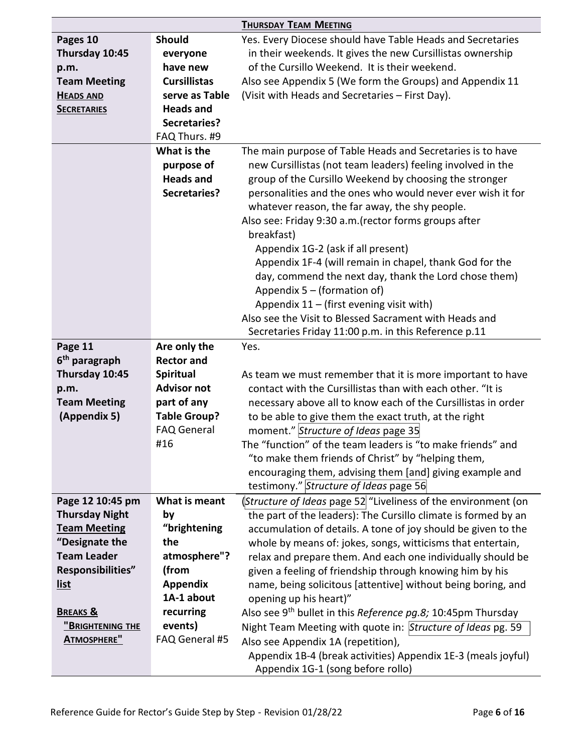|                           |                     | <b>THURSDAY TEAM MEETING</b>                                               |
|---------------------------|---------------------|----------------------------------------------------------------------------|
| Pages 10                  | <b>Should</b>       | Yes. Every Diocese should have Table Heads and Secretaries                 |
| Thursday 10:45            | everyone            | in their weekends. It gives the new Cursillistas ownership                 |
| p.m.                      | have new            | of the Cursillo Weekend. It is their weekend.                              |
| <b>Team Meeting</b>       | <b>Cursillistas</b> | Also see Appendix 5 (We form the Groups) and Appendix 11                   |
| <b>HEADS AND</b>          | serve as Table      | (Visit with Heads and Secretaries - First Day).                            |
| <b>SECRETARIES</b>        | <b>Heads and</b>    |                                                                            |
|                           | <b>Secretaries?</b> |                                                                            |
|                           | FAQ Thurs. #9       |                                                                            |
|                           | What is the         | The main purpose of Table Heads and Secretaries is to have                 |
|                           | purpose of          | new Cursillistas (not team leaders) feeling involved in the                |
|                           | <b>Heads and</b>    | group of the Cursillo Weekend by choosing the stronger                     |
|                           | <b>Secretaries?</b> | personalities and the ones who would never ever wish it for                |
|                           |                     | whatever reason, the far away, the shy people.                             |
|                           |                     | Also see: Friday 9:30 a.m. (rector forms groups after                      |
|                           |                     | breakfast)                                                                 |
|                           |                     | Appendix 1G-2 (ask if all present)                                         |
|                           |                     | Appendix 1F-4 (will remain in chapel, thank God for the                    |
|                           |                     | day, commend the next day, thank the Lord chose them)                      |
|                           |                     | Appendix $5 -$ (formation of)                                              |
|                           |                     | Appendix $11 -$ (first evening visit with)                                 |
|                           |                     | Also see the Visit to Blessed Sacrament with Heads and                     |
|                           |                     | Secretaries Friday 11:00 p.m. in this Reference p.11                       |
| Page 11                   | Are only the        | Yes.                                                                       |
| 6 <sup>th</sup> paragraph | <b>Rector and</b>   |                                                                            |
| Thursday 10:45            | Spiritual           | As team we must remember that it is more important to have                 |
| p.m.                      | <b>Advisor not</b>  | contact with the Cursillistas than with each other. "It is                 |
| <b>Team Meeting</b>       | part of any         | necessary above all to know each of the Cursillistas in order              |
| (Appendix 5)              | <b>Table Group?</b> | to be able to give them the exact truth, at the right                      |
|                           | <b>FAQ General</b>  | moment." Structure of Ideas page 35                                        |
|                           | #16                 | The "function" of the team leaders is "to make friends" and                |
|                           |                     | "to make them friends of Christ" by "helping them,                         |
|                           |                     | encouraging them, advising them [and] giving example and                   |
|                           |                     | testimony." Structure of Ideas page 56                                     |
| Page 12 10:45 pm          | What is meant       | (Structure of Ideas page 52 <sup>"</sup> Liveliness of the environment (on |
| <b>Thursday Night</b>     | by                  | the part of the leaders): The Cursillo climate is formed by an             |
| <b>Team Meeting</b>       | "brightening        | accumulation of details. A tone of joy should be given to the              |
| "Designate the            | the                 | whole by means of: jokes, songs, witticisms that entertain,                |
| <b>Team Leader</b>        | atmosphere"?        | relax and prepare them. And each one individually should be                |
| Responsibilities"         | (from               | given a feeling of friendship through knowing him by his                   |
| <u>list</u>               | <b>Appendix</b>     | name, being solicitous [attentive] without being boring, and               |
|                           | 1A-1 about          | opening up his heart)"                                                     |
| <b>BREAKS &amp;</b>       | recurring           | Also see 9 <sup>th</sup> bullet in this Reference pg.8; 10:45pm Thursday   |
| <u>"Brightening the</u>   | events)             | Night Team Meeting with quote in: Structure of Ideas pg. 59                |
| <b>ATMOSPHERE"</b>        | FAQ General #5      | Also see Appendix 1A (repetition),                                         |
|                           |                     | Appendix 1B-4 (break activities) Appendix 1E-3 (meals joyful)              |
|                           |                     | Appendix 1G-1 (song before rollo)                                          |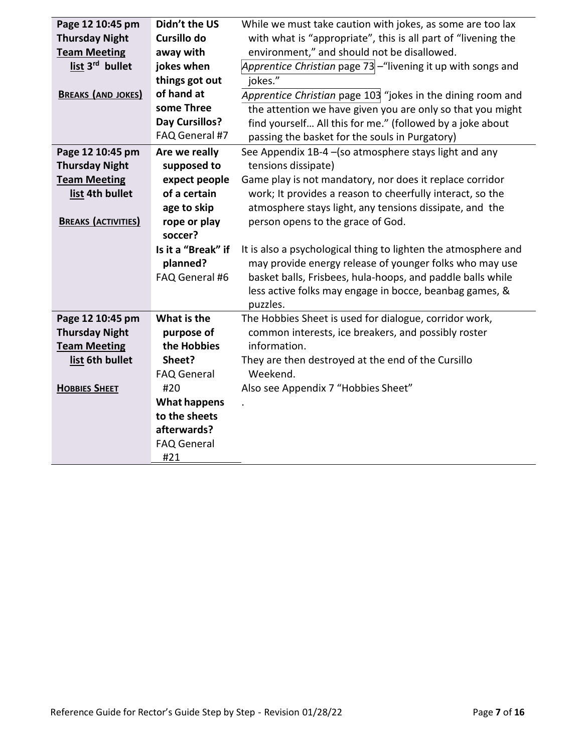| Page 12 10:45 pm            | Didn't the US             | While we must take caution with jokes, as some are too lax     |
|-----------------------------|---------------------------|----------------------------------------------------------------|
| <b>Thursday Night</b>       | Cursillo do               | with what is "appropriate", this is all part of "livening the  |
| <b>Team Meeting</b>         | away with                 | environment," and should not be disallowed.                    |
| list 3 <sup>rd</sup> bullet | jokes when                | Apprentice Christian page 73 - "livening it up with songs and  |
|                             | things got out            | jokes."                                                        |
| <b>BREAKS (AND JOKES)</b>   | of hand at                | Apprentice Christian page 103 "jokes in the dining room and    |
|                             | some Three                | the attention we have given you are only so that you might     |
|                             | <b>Day Cursillos?</b>     | find yourself All this for me." (followed by a joke about      |
|                             | FAQ General #7            | passing the basket for the souls in Purgatory)                 |
| Page 12 10:45 pm            | Are we really             | See Appendix 1B-4 - (so atmosphere stays light and any         |
| <b>Thursday Night</b>       | supposed to               | tensions dissipate)                                            |
| <b>Team Meeting</b>         | expect people             | Game play is not mandatory, nor does it replace corridor       |
| list 4th bullet             | of a certain              | work; It provides a reason to cheerfully interact, so the      |
|                             | age to skip               | atmosphere stays light, any tensions dissipate, and the        |
| <b>BREAKS (ACTIVITIES)</b>  | rope or play              | person opens to the grace of God.                              |
|                             | soccer?                   |                                                                |
|                             | Is it a "Break" if        | It is also a psychological thing to lighten the atmosphere and |
|                             |                           |                                                                |
|                             | planned?                  | may provide energy release of younger folks who may use        |
|                             | FAQ General #6            | basket balls, Frisbees, hula-hoops, and paddle balls while     |
|                             |                           | less active folks may engage in bocce, beanbag games, &        |
|                             |                           | puzzles.                                                       |
| Page 12 10:45 pm            | What is the               | The Hobbies Sheet is used for dialogue, corridor work,         |
| <b>Thursday Night</b>       | purpose of                | common interests, ice breakers, and possibly roster            |
| <b>Team Meeting</b>         | the Hobbies               | information.                                                   |
| list 6th bullet             | Sheet?                    | They are then destroyed at the end of the Cursillo             |
|                             | <b>FAQ General</b>        | Weekend.                                                       |
| <b>HOBBIES SHEET</b>        | #20                       | Also see Appendix 7 "Hobbies Sheet"                            |
|                             | What happens              |                                                                |
|                             | to the sheets             |                                                                |
|                             | afterwards?               |                                                                |
|                             | <b>FAQ General</b><br>#21 |                                                                |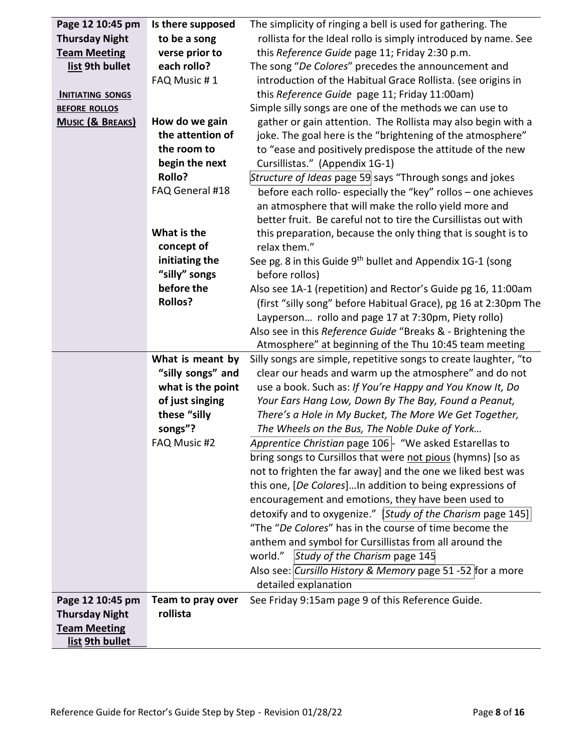| Page 12 10:45 pm            | Is there supposed | The simplicity of ringing a bell is used for gathering. The                      |
|-----------------------------|-------------------|----------------------------------------------------------------------------------|
| <b>Thursday Night</b>       | to be a song      | rollista for the Ideal rollo is simply introduced by name. See                   |
| <b>Team Meeting</b>         | verse prior to    | this Reference Guide page 11; Friday 2:30 p.m.                                   |
| list 9th bullet             | each rollo?       | The song "De Colores" precedes the announcement and                              |
|                             | FAQ Music #1      | introduction of the Habitual Grace Rollista. (see origins in                     |
| <b>INITIATING SONGS</b>     |                   | this Reference Guide page 11; Friday 11:00am)                                    |
| <b>BEFORE ROLLOS</b>        |                   | Simple silly songs are one of the methods we can use to                          |
| <b>MUSIC (&amp; BREAKS)</b> | How do we gain    | gather or gain attention. The Rollista may also begin with a                     |
|                             | the attention of  | joke. The goal here is the "brightening of the atmosphere"                       |
|                             | the room to       | to "ease and positively predispose the attitude of the new                       |
|                             | begin the next    | Cursillistas." (Appendix 1G-1)                                                   |
|                             | <b>Rollo?</b>     | Structure of Ideas page 59 says "Through songs and jokes                         |
|                             | FAQ General #18   | before each rollo- especially the "key" rollos - one achieves                    |
|                             |                   | an atmosphere that will make the rollo yield more and                            |
|                             |                   | better fruit. Be careful not to tire the Cursillistas out with                   |
|                             | What is the       | this preparation, because the only thing that is sought is to                    |
|                             | concept of        | relax them."                                                                     |
|                             | initiating the    | See pg. 8 in this Guide 9 <sup>th</sup> bullet and Appendix 1G-1 (song           |
|                             | "silly" songs     | before rollos)                                                                   |
|                             | before the        | Also see 1A-1 (repetition) and Rector's Guide pg 16, 11:00am                     |
|                             | <b>Rollos?</b>    | (first "silly song" before Habitual Grace), pg 16 at 2:30pm The                  |
|                             |                   | Layperson rollo and page 17 at 7:30pm, Piety rollo)                              |
|                             |                   | Also see in this Reference Guide "Breaks & - Brightening the                     |
|                             |                   | Atmosphere" at beginning of the Thu 10:45 team meeting                           |
|                             | What is meant by  | Silly songs are simple, repetitive songs to create laughter, "to                 |
|                             | "silly songs" and | clear our heads and warm up the atmosphere" and do not                           |
|                             | what is the point | use a book. Such as: If You're Happy and You Know It, Do                         |
|                             | of just singing   | Your Ears Hang Low, Down By The Bay, Found a Peanut,                             |
|                             | these "silly      | There's a Hole in My Bucket, The More We Get Together,                           |
|                             | songs"?           |                                                                                  |
|                             |                   | The Wheels on the Bus, The Noble Duke of York                                    |
|                             | FAQ Music #2      | Apprentice Christian page $106$ $\overline{\phantom{1}}$ "We asked Estarellas to |
|                             |                   | bring songs to Cursillos that were not pious (hymns) [so as                      |
|                             |                   | not to frighten the far away] and the one we liked best was                      |
|                             |                   | this one, [De Colores]In addition to being expressions of                        |
|                             |                   | encouragement and emotions, they have been used to                               |
|                             |                   | detoxify and to oxygenize." [Study of the Charism page 145]                      |
|                             |                   | "The "De Colores" has in the course of time become the                           |
|                             |                   | anthem and symbol for Cursillistas from all around the                           |
|                             |                   | Study of the Charism page 145<br>world."                                         |
|                             |                   | Also see: Cursillo History & Memory page 51-52 for a more                        |
|                             |                   | detailed explanation                                                             |
| Page 12 10:45 pm            | Team to pray over | See Friday 9:15am page 9 of this Reference Guide.                                |
| <b>Thursday Night</b>       | rollista          |                                                                                  |
| <b>Team Meeting</b>         |                   |                                                                                  |
| list 9th bullet             |                   |                                                                                  |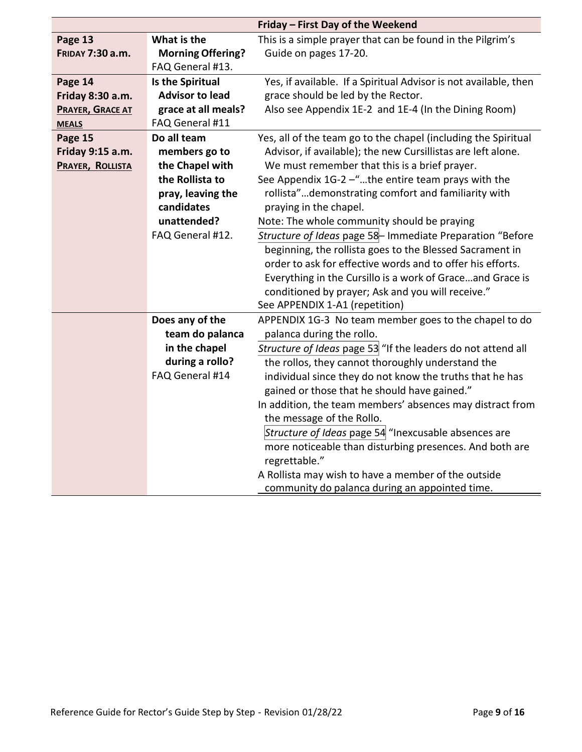|                         |                                              | Friday - First Day of the Weekend                                                  |
|-------------------------|----------------------------------------------|------------------------------------------------------------------------------------|
| Page 13                 | What is the                                  | This is a simple prayer that can be found in the Pilgrim's                         |
| <b>FRIDAY 7:30 a.m.</b> | <b>Morning Offering?</b><br>FAQ General #13. | Guide on pages 17-20.                                                              |
| Page 14                 | Is the Spiritual                             | Yes, if available. If a Spiritual Advisor is not available, then                   |
| Friday 8:30 a.m.        | <b>Advisor to lead</b>                       | grace should be led by the Rector.                                                 |
| <b>PRAYER, GRACE AT</b> | grace at all meals?                          | Also see Appendix 1E-2 and 1E-4 (In the Dining Room)                               |
| <b>MEALS</b>            | FAQ General #11                              |                                                                                    |
| Page 15                 | Do all team                                  | Yes, all of the team go to the chapel (including the Spiritual                     |
| Friday 9:15 a.m.        | members go to                                | Advisor, if available); the new Cursillistas are left alone.                       |
| PRAYER, ROLLISTA        | the Chapel with                              | We must remember that this is a brief prayer.                                      |
|                         | the Rollista to                              | See Appendix 1G-2 -"the entire team prays with the                                 |
|                         | pray, leaving the                            | rollista"demonstrating comfort and familiarity with                                |
|                         | candidates                                   | praying in the chapel.                                                             |
|                         | unattended?                                  | Note: The whole community should be praying                                        |
|                         | FAQ General #12.                             | Structure of Ideas page 58- Immediate Preparation "Before                          |
|                         |                                              | beginning, the rollista goes to the Blessed Sacrament in                           |
|                         |                                              | order to ask for effective words and to offer his efforts.                         |
|                         |                                              | Everything in the Cursillo is a work of Graceand Grace is                          |
|                         |                                              | conditioned by prayer; Ask and you will receive."                                  |
|                         |                                              | See APPENDIX 1-A1 (repetition)                                                     |
|                         | Does any of the<br>team do palanca           | APPENDIX 1G-3 No team member goes to the chapel to do<br>palanca during the rollo. |
|                         | in the chapel                                | Structure of Ideas page 53 "If the leaders do not attend all                       |
|                         | during a rollo?                              | the rollos, they cannot thoroughly understand the                                  |
|                         | FAQ General #14                              | individual since they do not know the truths that he has                           |
|                         |                                              | gained or those that he should have gained."                                       |
|                         |                                              | In addition, the team members' absences may distract from                          |
|                         |                                              | the message of the Rollo.                                                          |
|                         |                                              | Structure of Ideas page 54 "Inexcusable absences are                               |
|                         |                                              | more noticeable than disturbing presences. And both are                            |
|                         |                                              | regrettable."                                                                      |
|                         |                                              | A Rollista may wish to have a member of the outside                                |
|                         |                                              | community do palanca during an appointed time.                                     |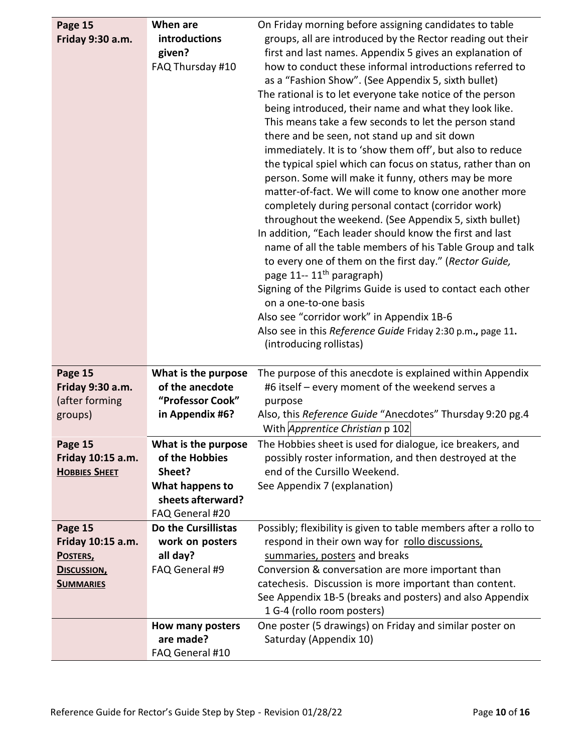| Page 15              | When are                     | On Friday morning before assigning candidates to table           |
|----------------------|------------------------------|------------------------------------------------------------------|
| Friday 9:30 a.m.     | introductions                | groups, all are introduced by the Rector reading out their       |
|                      | given?                       | first and last names. Appendix 5 gives an explanation of         |
|                      | FAQ Thursday #10             | how to conduct these informal introductions referred to          |
|                      |                              | as a "Fashion Show". (See Appendix 5, sixth bullet)              |
|                      |                              | The rational is to let everyone take notice of the person        |
|                      |                              | being introduced, their name and what they look like.            |
|                      |                              | This means take a few seconds to let the person stand            |
|                      |                              | there and be seen, not stand up and sit down                     |
|                      |                              | immediately. It is to 'show them off', but also to reduce        |
|                      |                              | the typical spiel which can focus on status, rather than on      |
|                      |                              | person. Some will make it funny, others may be more              |
|                      |                              | matter-of-fact. We will come to know one another more            |
|                      |                              | completely during personal contact (corridor work)               |
|                      |                              | throughout the weekend. (See Appendix 5, sixth bullet)           |
|                      |                              | In addition, "Each leader should know the first and last         |
|                      |                              | name of all the table members of his Table Group and talk        |
|                      |                              | to every one of them on the first day." (Rector Guide,           |
|                      |                              | page 11-- 11 <sup>th</sup> paragraph)                            |
|                      |                              | Signing of the Pilgrims Guide is used to contact each other      |
|                      |                              | on a one-to-one basis                                            |
|                      |                              | Also see "corridor work" in Appendix 1B-6                        |
|                      |                              | Also see in this Reference Guide Friday 2:30 p.m., page 11.      |
|                      |                              | (introducing rollistas)                                          |
| Page 15              | What is the purpose          | The purpose of this anecdote is explained within Appendix        |
| Friday 9:30 a.m.     | of the anecdote              | #6 itself - every moment of the weekend serves a                 |
| (after forming       | "Professor Cook"             | purpose                                                          |
| groups)              | in Appendix #6?              | Also, this Reference Guide "Anecdotes" Thursday 9:20 pg.4        |
|                      |                              | With Apprentice Christian p 102                                  |
| Page 15              | What is the purpose          | The Hobbies sheet is used for dialogue, ice breakers, and        |
| Friday 10:15 a.m.    | of the Hobbies               | possibly roster information, and then destroyed at the           |
| <b>HOBBIES SHEET</b> | Sheet?                       | end of the Cursillo Weekend.                                     |
|                      | What happens to              | See Appendix 7 (explanation)                                     |
|                      | sheets afterward?            |                                                                  |
|                      | FAQ General #20              |                                                                  |
| Page 15              |                              |                                                                  |
|                      | Do the Cursillistas          | Possibly; flexibility is given to table members after a rollo to |
| Friday 10:15 a.m.    | work on posters              | respond in their own way for rollo discussions,                  |
| POSTERS,             | all day?                     | summaries, posters and breaks                                    |
| <b>DISCUSSION,</b>   | FAQ General #9               | Conversion & conversation are more important than                |
| <b>SUMMARIES</b>     |                              | catechesis. Discussion is more important than content.           |
|                      |                              | See Appendix 1B-5 (breaks and posters) and also Appendix         |
|                      |                              | 1 G-4 (rollo room posters)                                       |
|                      | How many posters             | One poster (5 drawings) on Friday and similar poster on          |
|                      | are made?<br>FAQ General #10 | Saturday (Appendix 10)                                           |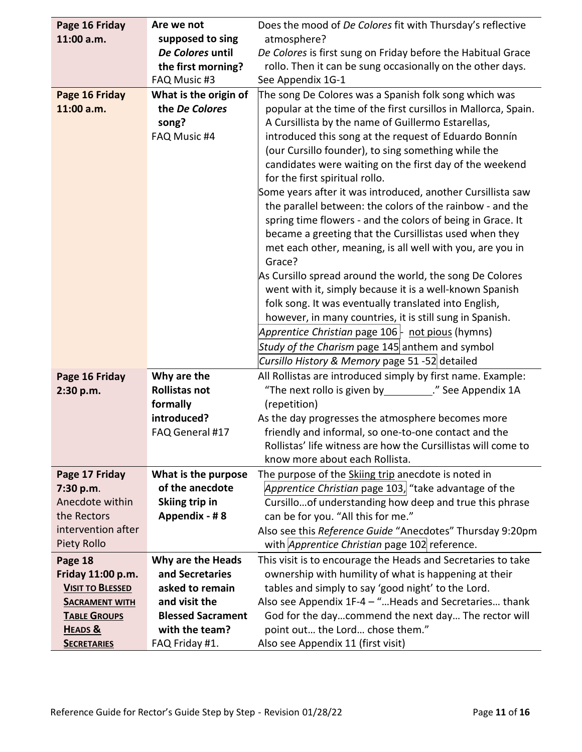| Page 16 Friday          | Are we not               | Does the mood of De Colores fit with Thursday's reflective     |
|-------------------------|--------------------------|----------------------------------------------------------------|
| 11:00 a.m.              | supposed to sing         | atmosphere?                                                    |
|                         | De Colores until         | De Colores is first sung on Friday before the Habitual Grace   |
|                         | the first morning?       | rollo. Then it can be sung occasionally on the other days.     |
|                         | FAQ Music #3             | See Appendix 1G-1                                              |
| Page 16 Friday          | What is the origin of    | The song De Colores was a Spanish folk song which was          |
| 11:00 a.m.              | the De Colores           | popular at the time of the first cursillos in Mallorca, Spain. |
|                         | song?                    | A Cursillista by the name of Guillermo Estarellas,             |
|                         | FAQ Music #4             | introduced this song at the request of Eduardo Bonnín          |
|                         |                          | (our Cursillo founder), to sing something while the            |
|                         |                          | candidates were waiting on the first day of the weekend        |
|                         |                          | for the first spiritual rollo.                                 |
|                         |                          | Some years after it was introduced, another Cursillista saw    |
|                         |                          | the parallel between: the colors of the rainbow - and the      |
|                         |                          | spring time flowers - and the colors of being in Grace. It     |
|                         |                          | became a greeting that the Cursillistas used when they         |
|                         |                          | met each other, meaning, is all well with you, are you in      |
|                         |                          | Grace?                                                         |
|                         |                          | As Cursillo spread around the world, the song De Colores       |
|                         |                          | went with it, simply because it is a well-known Spanish        |
|                         |                          | folk song. It was eventually translated into English,          |
|                         |                          | however, in many countries, it is still sung in Spanish.       |
|                         |                          | Apprentice Christian page 106   not pious (hymns)              |
|                         |                          | Study of the Charism page 145 anthem and symbol                |
|                         |                          | Cursillo History & Memory page 51 -52 detailed                 |
| Page 16 Friday          | Why are the              | All Rollistas are introduced simply by first name. Example:    |
| 2:30 p.m.               | <b>Rollistas not</b>     | "The next rollo is given by _________." See Appendix 1A        |
|                         | formally                 | (repetition)                                                   |
|                         | introduced?              | As the day progresses the atmosphere becomes more              |
|                         | FAQ General #17          | friendly and informal, so one-to-one contact and the           |
|                         |                          | Rollistas' life witness are how the Cursillistas will come to  |
|                         |                          | know more about each Rollista.                                 |
| Page 17 Friday          | What is the purpose      | The purpose of the Skiing trip anecdote is noted in            |
| 7:30 p.m.               | of the anecdote          | Apprentice Christian page 103, "take advantage of the          |
| Anecdote within         | Skiing trip in           | Cursillo of understanding how deep and true this phrase        |
| the Rectors             | Appendix - #8            | can be for you. "All this for me."                             |
| intervention after      |                          | Also see this Reference Guide "Anecdotes" Thursday 9:20pm      |
| Piety Rollo             |                          | with <i>Apprentice Christian</i> page 102 reference.           |
| Page 18                 | Why are the Heads        | This visit is to encourage the Heads and Secretaries to take   |
| Friday 11:00 p.m.       | and Secretaries          | ownership with humility of what is happening at their          |
| <b>VISIT TO BLESSED</b> | asked to remain          | tables and simply to say 'good night' to the Lord.             |
| <b>SACRAMENT WITH</b>   | and visit the            | Also see Appendix 1F-4 - "Heads and Secretaries thank          |
| <b>TABLE GROUPS</b>     | <b>Blessed Sacrament</b> | God for the daycommend the next day The rector will            |
| HEADS &                 | with the team?           | point out the Lord chose them."                                |
| <b>SECRETARIES</b>      | FAQ Friday #1.           | Also see Appendix 11 (first visit)                             |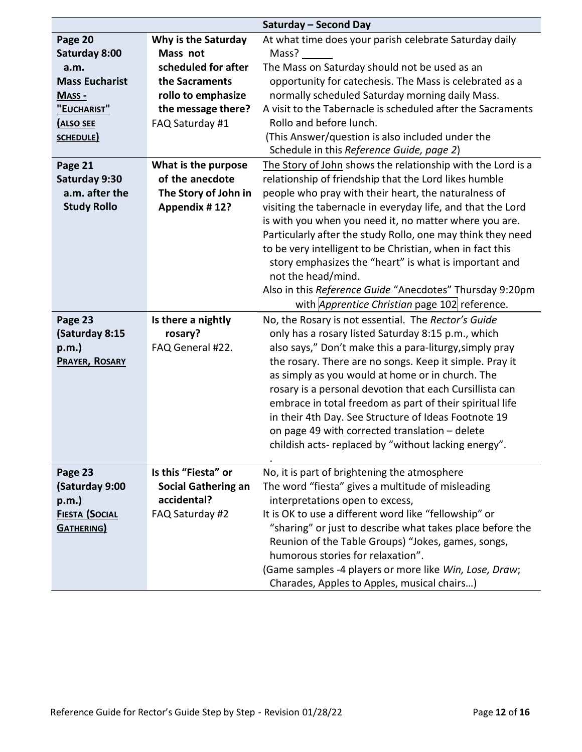|                       |                            | Saturday - Second Day                                       |
|-----------------------|----------------------------|-------------------------------------------------------------|
| Page 20               | Why is the Saturday        | At what time does your parish celebrate Saturday daily      |
| <b>Saturday 8:00</b>  | Mass not                   | Mass?                                                       |
| a.m.                  | scheduled for after        | The Mass on Saturday should not be used as an               |
| <b>Mass Eucharist</b> | the Sacraments             | opportunity for catechesis. The Mass is celebrated as a     |
| MASS -                | rollo to emphasize         | normally scheduled Saturday morning daily Mass.             |
| "EUCHARIST"           | the message there?         | A visit to the Tabernacle is scheduled after the Sacraments |
| <b>ALSO SEE</b>       | FAQ Saturday #1            | Rollo and before lunch.                                     |
| SCHEDULE)             |                            | (This Answer/question is also included under the            |
|                       |                            | Schedule in this Reference Guide, page 2)                   |
| Page 21               | What is the purpose        | The Story of John shows the relationship with the Lord is a |
| Saturday 9:30         | of the anecdote            | relationship of friendship that the Lord likes humble       |
| a.m. after the        | The Story of John in       | people who pray with their heart, the naturalness of        |
| <b>Study Rollo</b>    | Appendix #12?              | visiting the tabernacle in everyday life, and that the Lord |
|                       |                            | is with you when you need it, no matter where you are.      |
|                       |                            | Particularly after the study Rollo, one may think they need |
|                       |                            | to be very intelligent to be Christian, when in fact this   |
|                       |                            | story emphasizes the "heart" is what is important and       |
|                       |                            | not the head/mind.                                          |
|                       |                            | Also in this Reference Guide "Anecdotes" Thursday 9:20pm    |
|                       |                            | with <i>Apprentice Christian</i> page 102 reference.        |
| Page 23               | Is there a nightly         | No, the Rosary is not essential. The Rector's Guide         |
| (Saturday 8:15        | rosary?                    | only has a rosary listed Saturday 8:15 p.m., which          |
| $p.m.$ )              | FAQ General #22.           | also says," Don't make this a para-liturgy, simply pray     |
| <b>PRAYER, ROSARY</b> |                            | the rosary. There are no songs. Keep it simple. Pray it     |
|                       |                            | as simply as you would at home or in church. The            |
|                       |                            | rosary is a personal devotion that each Cursillista can     |
|                       |                            | embrace in total freedom as part of their spiritual life    |
|                       |                            | in their 4th Day. See Structure of Ideas Footnote 19        |
|                       |                            | on page 49 with corrected translation - delete              |
|                       |                            | childish acts- replaced by "without lacking energy".        |
|                       |                            |                                                             |
| Page 23               | Is this "Fiesta" or        | No, it is part of brightening the atmosphere                |
| (Saturday 9:00        | <b>Social Gathering an</b> | The word "fiesta" gives a multitude of misleading           |
| $p.m.$ )              | accidental?                | interpretations open to excess,                             |
| <b>FIESTA (SOCIAL</b> | FAQ Saturday #2            | It is OK to use a different word like "fellowship" or       |
| <b>GATHERING</b>      |                            | "sharing" or just to describe what takes place before the   |
|                       |                            | Reunion of the Table Groups) "Jokes, games, songs,          |
|                       |                            | humorous stories for relaxation".                           |
|                       |                            | (Game samples -4 players or more like Win, Lose, Draw;      |
|                       |                            | Charades, Apples to Apples, musical chairs)                 |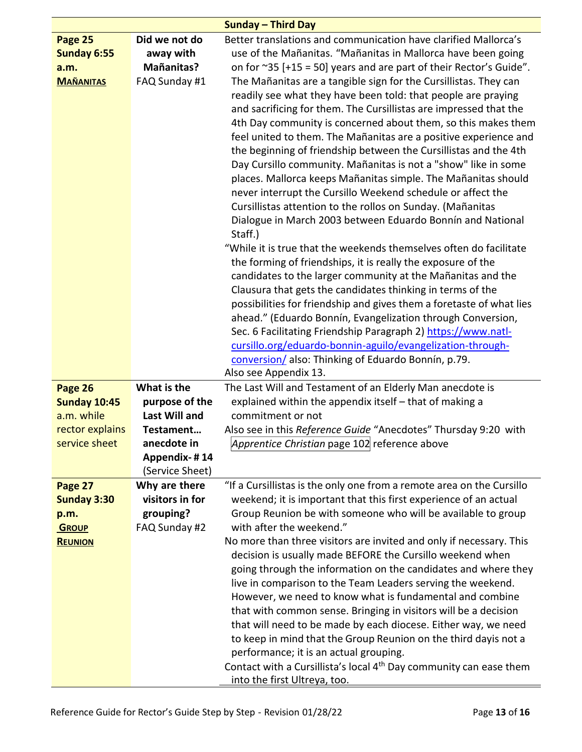|                                   |                                        | <b>Sunday - Third Day</b>                                                      |
|-----------------------------------|----------------------------------------|--------------------------------------------------------------------------------|
| Page 25                           | Did we not do                          | Better translations and communication have clarified Mallorca's                |
| Sunday 6:55                       | away with                              | use of the Mañanitas. "Mañanitas in Mallorca have been going                   |
| a.m.                              | Mañanitas?                             | on for $\approx$ 35 [+15 = 50] years and are part of their Rector's Guide".    |
| <b>MAÑANITAS</b>                  | FAQ Sunday #1                          | The Mañanitas are a tangible sign for the Cursillistas. They can               |
|                                   |                                        | readily see what they have been told: that people are praying                  |
|                                   |                                        | and sacrificing for them. The Cursillistas are impressed that the              |
|                                   |                                        | 4th Day community is concerned about them, so this makes them                  |
|                                   |                                        | feel united to them. The Mañanitas are a positive experience and               |
|                                   |                                        | the beginning of friendship between the Cursillistas and the 4th               |
|                                   |                                        | Day Cursillo community. Mañanitas is not a "show" like in some                 |
|                                   |                                        | places. Mallorca keeps Mañanitas simple. The Mañanitas should                  |
|                                   |                                        | never interrupt the Cursillo Weekend schedule or affect the                    |
|                                   |                                        | Cursillistas attention to the rollos on Sunday. (Mañanitas                     |
|                                   |                                        | Dialogue in March 2003 between Eduardo Bonnín and National                     |
|                                   |                                        | Staff.)                                                                        |
|                                   |                                        | "While it is true that the weekends themselves often do facilitate             |
|                                   |                                        | the forming of friendships, it is really the exposure of the                   |
|                                   |                                        | candidates to the larger community at the Mañanitas and the                    |
|                                   |                                        | Clausura that gets the candidates thinking in terms of the                     |
|                                   |                                        | possibilities for friendship and gives them a foretaste of what lies           |
|                                   |                                        |                                                                                |
|                                   |                                        | ahead." (Eduardo Bonnín, Evangelization through Conversion,                    |
|                                   |                                        | Sec. 6 Facilitating Friendship Paragraph 2) https://www.natl-                  |
|                                   |                                        | cursillo.org/eduardo-bonnin-aguilo/evangelization-through-                     |
|                                   |                                        | conversion/also: Thinking of Eduardo Bonnín, p.79.<br>Also see Appendix 13.    |
|                                   | What is the                            |                                                                                |
| Page 26                           |                                        | The Last Will and Testament of an Elderly Man anecdote is                      |
| <b>Sunday 10:45</b><br>a.m. while | purpose of the<br><b>Last Will and</b> | explained within the appendix itself - that of making a<br>commitment or not   |
| rector explains                   | Testament                              |                                                                                |
| service sheet                     | anecdote in                            | Also see in this Reference Guide "Anecdotes" Thursday 9:20 with                |
|                                   | Appendix-#14                           | Apprentice Christian page 102 reference above                                  |
|                                   | (Service Sheet)                        |                                                                                |
| Page 27                           | Why are there                          | "If a Cursillistas is the only one from a remote area on the Cursillo          |
| <b>Sunday 3:30</b>                | visitors in for                        | weekend; it is important that this first experience of an actual               |
| p.m.                              | grouping?                              | Group Reunion be with someone who will be available to group                   |
| <b>GROUP</b>                      | FAQ Sunday #2                          | with after the weekend."                                                       |
| <b>REUNION</b>                    |                                        | No more than three visitors are invited and only if necessary. This            |
|                                   |                                        | decision is usually made BEFORE the Cursillo weekend when                      |
|                                   |                                        | going through the information on the candidates and where they                 |
|                                   |                                        | live in comparison to the Team Leaders serving the weekend.                    |
|                                   |                                        | However, we need to know what is fundamental and combine                       |
|                                   |                                        | that with common sense. Bringing in visitors will be a decision                |
|                                   |                                        | that will need to be made by each diocese. Either way, we need                 |
|                                   |                                        | to keep in mind that the Group Reunion on the third dayis not a                |
|                                   |                                        | performance; it is an actual grouping.                                         |
|                                   |                                        | Contact with a Cursillista's local 4 <sup>th</sup> Day community can ease them |
|                                   |                                        | into the first Ultreya, too.                                                   |
|                                   |                                        |                                                                                |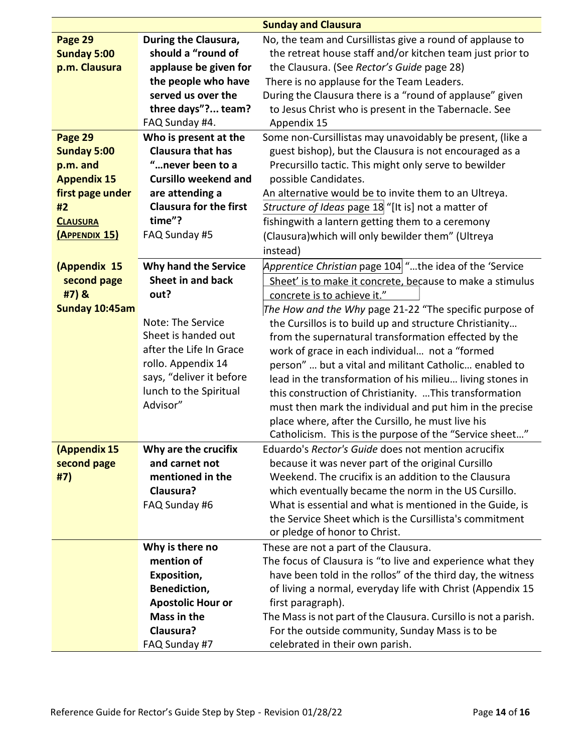|                    |                               | <b>Sunday and Clausura</b>                                      |
|--------------------|-------------------------------|-----------------------------------------------------------------|
| Page 29            | During the Clausura,          | No, the team and Cursillistas give a round of applause to       |
| <b>Sunday 5:00</b> | should a "round of            | the retreat house staff and/or kitchen team just prior to       |
| p.m. Clausura      | applause be given for         | the Clausura. (See Rector's Guide page 28)                      |
|                    | the people who have           | There is no applause for the Team Leaders.                      |
|                    | served us over the            | During the Clausura there is a "round of applause" given        |
|                    | three days"? team?            | to Jesus Christ who is present in the Tabernacle. See           |
|                    | FAQ Sunday #4.                | Appendix 15                                                     |
| Page 29            | Who is present at the         | Some non-Cursillistas may unavoidably be present, (like a       |
| <b>Sunday 5:00</b> | <b>Clausura that has</b>      | guest bishop), but the Clausura is not encouraged as a          |
| p.m. and           | "never been to a              | Precursillo tactic. This might only serve to bewilder           |
| <b>Appendix 15</b> | <b>Cursillo weekend and</b>   | possible Candidates.                                            |
| first page under   | are attending a               | An alternative would be to invite them to an Ultreya.           |
| #2                 | <b>Clausura for the first</b> | Structure of Ideas page 18 "[It is] not a matter of             |
| <b>CLAUSURA</b>    | time"?                        | fishingwith a lantern getting them to a ceremony                |
| (APPENDIX 15)      | FAQ Sunday #5                 | (Clausura) which will only bewilder them" (Ultreya              |
|                    |                               | instead)                                                        |
| (Appendix 15       | <b>Why hand the Service</b>   | Apprentice Christian page 104 "the idea of the 'Service         |
| second page        | Sheet in and back             | Sheet' is to make it concrete, because to make a stimulus       |
| #7) &              | out?                          | concrete is to achieve it."                                     |
| Sunday 10:45am     |                               | The How and the Why page 21-22 "The specific purpose of         |
|                    | Note: The Service             | the Cursillos is to build up and structure Christianity         |
|                    | Sheet is handed out           | from the supernatural transformation effected by the            |
|                    | after the Life In Grace       | work of grace in each individual not a "formed                  |
|                    | rollo. Appendix 14            | person"  but a vital and militant Catholic enabled to           |
|                    | says, "deliver it before      | lead in the transformation of his milieu living stones in       |
|                    | lunch to the Spiritual        | this construction of Christianity. This transformation          |
|                    | Advisor"                      | must then mark the individual and put him in the precise        |
|                    |                               | place where, after the Cursillo, he must live his               |
|                    |                               | Catholicism. This is the purpose of the "Service sheet"         |
| (Appendix 15       | Why are the crucifix          | Eduardo's Rector's Guide does not mention acrucifix             |
| second page        | and carnet not                | because it was never part of the original Cursillo              |
| #7)                | mentioned in the              | Weekend. The crucifix is an addition to the Clausura            |
|                    | Clausura?                     | which eventually became the norm in the US Cursillo.            |
|                    | FAQ Sunday #6                 | What is essential and what is mentioned in the Guide, is        |
|                    |                               | the Service Sheet which is the Cursillista's commitment         |
|                    |                               | or pledge of honor to Christ.                                   |
|                    | Why is there no               | These are not a part of the Clausura.                           |
|                    | mention of                    | The focus of Clausura is "to live and experience what they      |
|                    | Exposition,                   | have been told in the rollos" of the third day, the witness     |
|                    | Benediction,                  | of living a normal, everyday life with Christ (Appendix 15      |
|                    | <b>Apostolic Hour or</b>      | first paragraph).                                               |
|                    | Mass in the                   | The Mass is not part of the Clausura. Cursillo is not a parish. |
|                    | Clausura?                     | For the outside community, Sunday Mass is to be                 |
|                    | FAQ Sunday #7                 | celebrated in their own parish.                                 |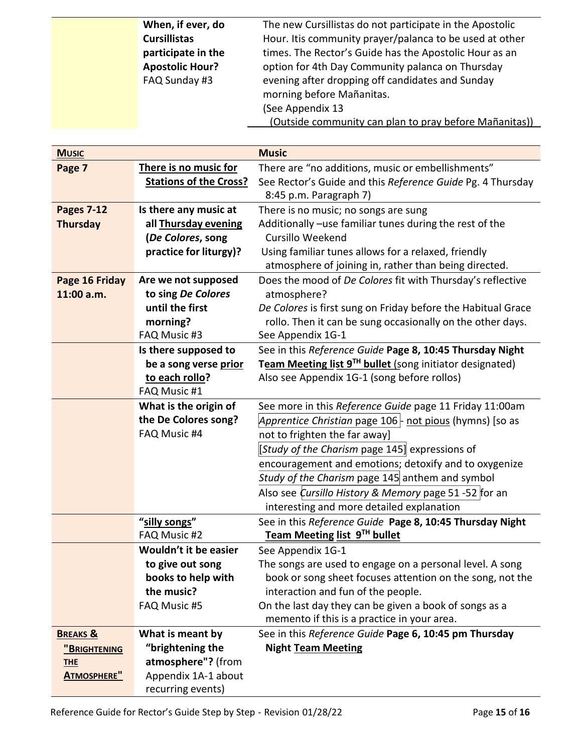| When, if ever, do      | The new Cursillistas do not participate in the Apostolic |
|------------------------|----------------------------------------------------------|
| <b>Cursillistas</b>    | Hour. It is community prayer/palanca to be used at other |
| participate in the     | times. The Rector's Guide has the Apostolic Hour as an   |
| <b>Apostolic Hour?</b> | option for 4th Day Community palanca on Thursday         |
| FAQ Sunday #3          | evening after dropping off candidates and Sunday         |
|                        | morning before Mañanitas.                                |
|                        | (See Appendix 13                                         |
|                        | (Outside community can plan to pray before Mañanitas))   |

| <b>MUSIC</b>        |                               | <b>Music</b>                                                                                                 |
|---------------------|-------------------------------|--------------------------------------------------------------------------------------------------------------|
| Page 7              | There is no music for         | There are "no additions, music or embellishments"                                                            |
|                     | <b>Stations of the Cross?</b> | See Rector's Guide and this Reference Guide Pg. 4 Thursday                                                   |
|                     |                               | 8:45 p.m. Paragraph 7)                                                                                       |
| <b>Pages 7-12</b>   | Is there any music at         | There is no music; no songs are sung                                                                         |
| <b>Thursday</b>     | all Thursday evening          | Additionally -use familiar tunes during the rest of the                                                      |
|                     | (De Colores, song             | Cursillo Weekend                                                                                             |
|                     | practice for liturgy)?        | Using familiar tunes allows for a relaxed, friendly<br>atmosphere of joining in, rather than being directed. |
| Page 16 Friday      | Are we not supposed           | Does the mood of De Colores fit with Thursday's reflective                                                   |
| 11:00 a.m.          | to sing De Colores            | atmosphere?                                                                                                  |
|                     | until the first               | De Colores is first sung on Friday before the Habitual Grace                                                 |
|                     | morning?                      | rollo. Then it can be sung occasionally on the other days.                                                   |
|                     | FAQ Music #3                  | See Appendix 1G-1                                                                                            |
|                     | Is there supposed to          | See in this Reference Guide Page 8, 10:45 Thursday Night                                                     |
|                     | be a song verse prior         | Team Meeting list 9TH bullet (song initiator designated)                                                     |
|                     | to each rollo?                | Also see Appendix 1G-1 (song before rollos)                                                                  |
|                     | FAQ Music #1                  |                                                                                                              |
|                     | What is the origin of         | See more in this Reference Guide page 11 Friday 11:00am                                                      |
|                     | the De Colores song?          | Apprentice Christian page 106   not pious (hymns) [so as                                                     |
|                     | FAQ Music #4                  | not to frighten the far away]                                                                                |
|                     |                               | [Study of the Charism page 145] expressions of                                                               |
|                     |                               | encouragement and emotions; detoxify and to oxygenize                                                        |
|                     |                               | Study of the Charism page 145 anthem and symbol                                                              |
|                     |                               | Also see Cursillo History & Memory page 51 -52 for an                                                        |
|                     |                               | interesting and more detailed explanation                                                                    |
|                     | "silly songs"                 | See in this Reference Guide Page 8, 10:45 Thursday Night                                                     |
|                     | FAQ Music #2                  | Team Meeting list 9TH bullet                                                                                 |
|                     | Wouldn't it be easier         | See Appendix 1G-1                                                                                            |
|                     | to give out song              | The songs are used to engage on a personal level. A song                                                     |
|                     | books to help with            | book or song sheet focuses attention on the song, not the                                                    |
|                     | the music?                    | interaction and fun of the people.                                                                           |
|                     | FAQ Music #5                  | On the last day they can be given a book of songs as a<br>memento if this is a practice in your area.        |
| <b>BREAKS &amp;</b> | What is meant by              | See in this Reference Guide Page 6, 10:45 pm Thursday                                                        |
| "BRIGHTENING        | "brightening the              | <b>Night Team Meeting</b>                                                                                    |
| <b>THE</b>          | atmosphere"? (from            |                                                                                                              |
| <b>ATMOSPHERE"</b>  | Appendix 1A-1 about           |                                                                                                              |
|                     | recurring events)             |                                                                                                              |